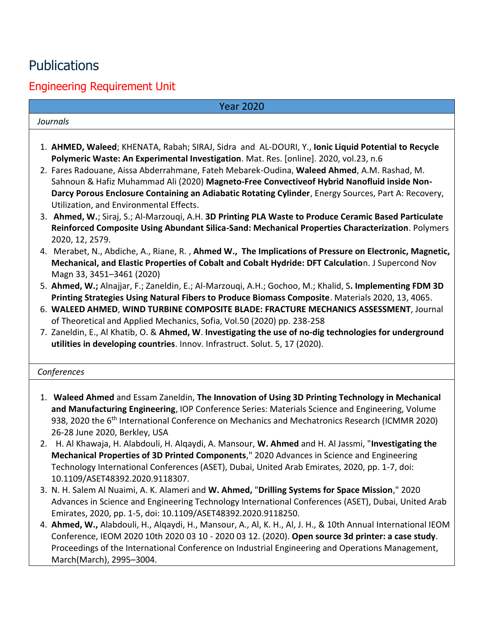## **Publications**

## Engineering Requirement Unit

## Year 2020 *Journals* 1. **AHMED, Waleed**; KHENATA, Rabah; SIRAJ, Sidra and AL-DOURI, Y., **Ionic Liquid Potential to Recycle Polymeric Waste: An Experimental Investigation**. Mat. Res. [online]. 2020, vol.23, n.6 2. Fares Radouane, Aissa Abderrahmane, Fateh Mebarek-Oudina, **Waleed Ahmed**, A.M. Rashad, M. Sahnoun & Hafiz Muhammad Ali (2020) **Magneto-Free Convectiveof Hybrid Nanofluid inside Non-Darcy Porous Enclosure Containing an Adiabatic Rotating Cylinder**, Energy Sources, Part A: Recovery, Utilization, and Environmental Effects. 3. **Ahmed, W.**; Siraj, S.; Al-Marzouqi, A.H. **3D Printing PLA Waste to Produce Ceramic Based Particulate Reinforced Composite Using Abundant Silica-Sand: Mechanical Properties Characterization**. Polymers 2020, 12, 2579. 4. Merabet, N., Abdiche, A., Riane, R. , **Ahmed W., The Implications of Pressure on Electronic, Magnetic, Mechanical, and Elastic Properties of Cobalt and Cobalt Hydride: DFT Calculatio**n. J Supercond Nov Magn 33, 3451–3461 (2020) 5. **Ahmed, W.;** Alnajjar, F.; Zaneldin, E.; Al-Marzouqi, A.H.; Gochoo, M.; Khalid, S**. Implementing FDM 3D Printing Strategies Using Natural Fibers to Produce Biomass Composite**. Materials 2020, 13, 4065. 6. **WALEED AHMED**, **WIND TURBINE COMPOSITE BLADE: FRACTURE MECHANICS ASSESSMENT**, Journal of Theoretical and Applied Mechanics, Sofia, Vol.50 (2020) pp. 238-258 7. Zaneldin, E., Al Khatib, O. & **Ahmed, W**. **Investigating the use of no-dig technologies for underground utilities in developing countries**. Innov. Infrastruct. Solut. 5, 17 (2020). *Conferences* 1. **Waleed Ahmed** and Essam Zaneldin, **The Innovation of Using 3D Printing Technology in Mechanical and Manufacturing Engineering**, IOP Conference Series: Materials Science and Engineering, Volume 938, 2020 the 6<sup>th</sup> International Conference on Mechanics and Mechatronics Research (ICMMR 2020) 26-28 June 2020, Berkley, USA 2. H. Al Khawaja, H. Alabdouli, H. Alqaydi, A. Mansour, **W. Ahmed** and H. Al Jassmi, "**Investigating the Mechanical Properties of 3D Printed Components**," 2020 Advances in Science and Engineering Technology International Conferences (ASET), Dubai, United Arab Emirates, 2020, pp. 1-7, doi: 10.1109/ASET48392.2020.9118307. 3. N. H. Salem Al Nuaimi, A. K. Alameri and **W. Ahmed,** "**Drilling Systems for Space Mission**," 2020 Advances in Science and Engineering Technology International Conferences (ASET), Dubai, United Arab Emirates, 2020, pp. 1-5, doi: 10.1109/ASET48392.2020.9118250. 4. **Ahmed, W.,** Alabdouli, H., Alqaydi, H., Mansour, A., Al, K. H., Al, J. H., & 10th Annual International IEOM Conference, IEOM 2020 10th 2020 03 10 - 2020 03 12. (2020). **Open source 3d printer: a case study**. Proceedings of the International Conference on Industrial Engineering and Operations Management,

March(March), 2995–3004.